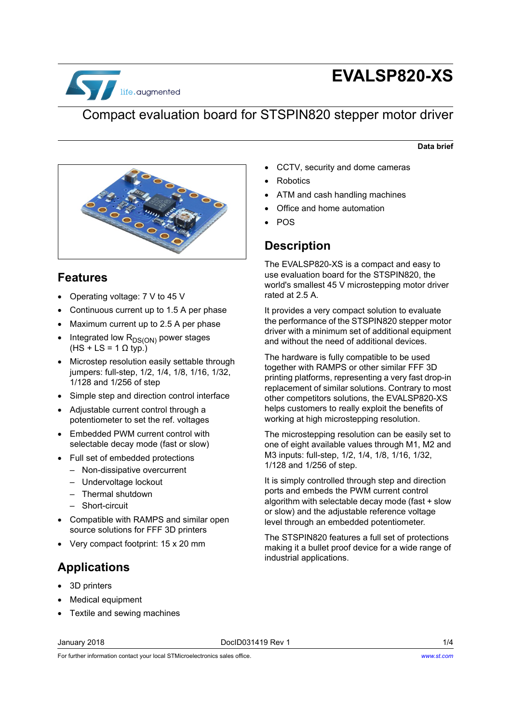

# **EVALSP820-XS**

### Compact evaluation board for STSPIN820 stepper motor driver

**Data brief**



#### **Features**

- Operating voltage: 7 V to 45 V
- Continuous current up to 1.5 A per phase
- Maximum current up to 2.5 A per phase
- Integrated low R<sub>DS(ON)</sub> power stages  $(HS + LS = 1 \Omega$  typ.)
- Microstep resolution easily settable through jumpers: full-step, 1/2, 1/4, 1/8, 1/16, 1/32, 1/128 and 1/256 of step
- Simple step and direction control interface
- Adjustable current control through a potentiometer to set the ref. voltages
- Embedded PWM current control with selectable decay mode (fast or slow)
- Full set of embedded protections
	- Non-dissipative overcurrent
	- Undervoltage lockout
	- Thermal shutdown
	- Short-circuit
- Compatible with RAMPS and similar open source solutions for FFF 3D printers
- Very compact footprint: 15 x 20 mm

### **Applications**

- 3D printers
- Medical equipment
- Textile and sewing machines

#### January 2018 DocID031419 Rev 1 1/4

- CCTV, security and dome cameras
- **Robotics**
- ATM and cash handling machines
- Office and home automation
- POS

### **Description**

The EVALSP820-XS is a compact and easy to use evaluation board for the STSPIN820, the world's smallest 45 V microstepping motor driver rated at 2.5 A.

It provides a very compact solution to evaluate the performance of the STSPIN820 stepper motor driver with a minimum set of additional equipment and without the need of additional devices.

The hardware is fully compatible to be used together with RAMPS or other similar FFF 3D printing platforms, representing a very fast drop-in replacement of similar solutions. Contrary to most other competitors solutions, the EVALSP820-XS helps customers to really exploit the benefits of working at high microstepping resolution.

The microstepping resolution can be easily set to one of eight available values through M1, M2 and M3 inputs: full-step, 1/2, 1/4, 1/8, 1/16, 1/32, 1/128 and 1/256 of step.

It is simply controlled through step and direction ports and embeds the PWM current control algorithm with selectable decay mode (fast + slow or slow) and the adjustable reference voltage level through an embedded potentiometer.

The STSPIN820 features a full set of protections making it a bullet proof device for a wide range of industrial applications.

For further information contact your local STMicroelectronics sales office.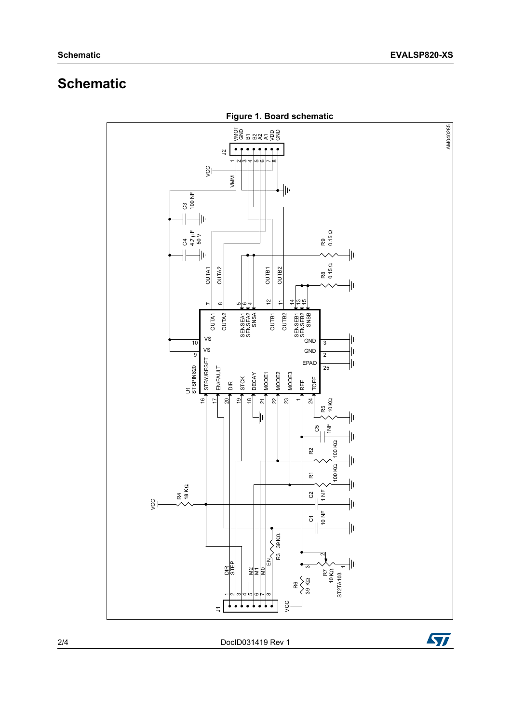## **Schematic**



2/4 DocID031419 Rev 1

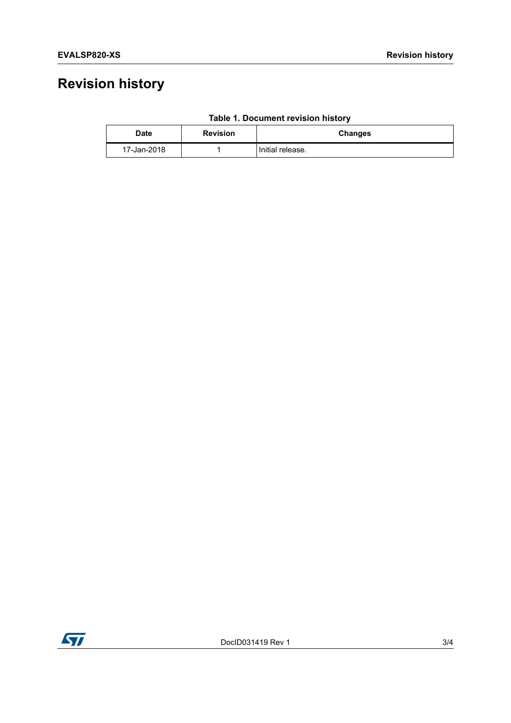# **Revision history**

| <b>Date</b> | <b>Revision</b> | <b>Changes</b>   |
|-------------|-----------------|------------------|
| 17-Jan-2018 |                 | Initial release. |

#### **Table 1. Document revision history**